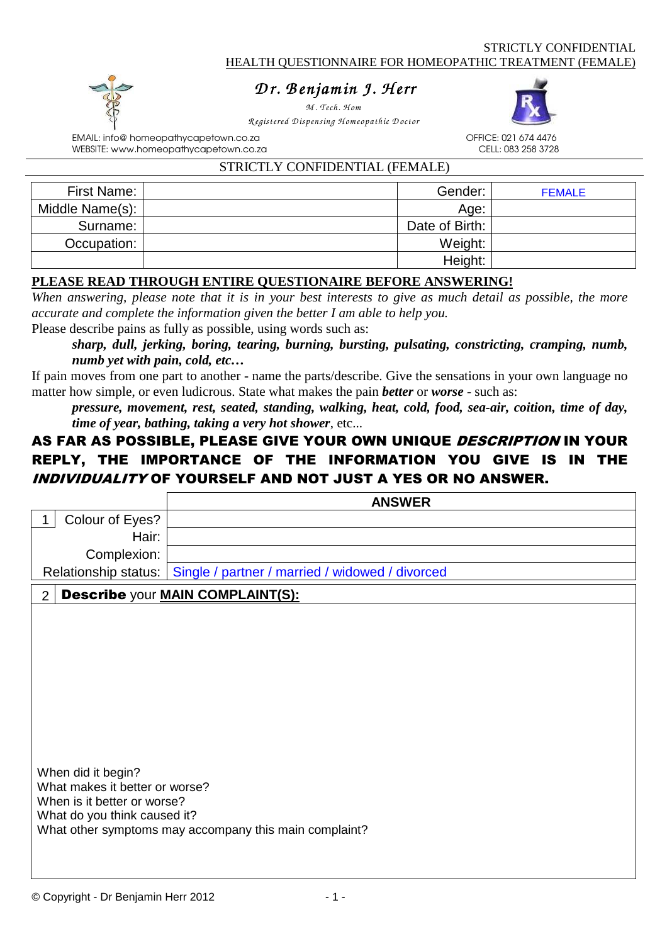# *D r . B enjam in J. H err enjam err*

*M . Tech. H om R egistered D ispensing H om eopathic D octor* 



EMAIL: info@ homeopathycapetown.co.za OFFICE: 021 674 4476 WEBSITE: www.homeopathycapetown.co.za

#### STRICTLY CONFIDENTIAL (FEMALE)

| First Name:     | Gender:        | <b>FEMALE</b> |
|-----------------|----------------|---------------|
| Middle Name(s): | Age:           |               |
| Surname:        | Date of Birth: |               |
| Occupation:     | Weight:        |               |
|                 | Height:        |               |

### **PLEASE READ THROUGH ENTIRE QUESTIONAIRE BEFORE ANSWERING!**

*When answering, please note that it is in your best interests to give as much detail as possible, the more accurate and complete the information given the better I am able to help you.*

Please describe pains as fully as possible, using words such as:

*sharp, dull, jerking, boring, tearing, burning, bursting, pulsating, constricting, cramping, numb, numb yet with pain, cold, etc…*

If pain moves from one part to another - name the parts/describe. Give the sensations in your own language no matter how simple, or even ludicrous. State what makes the pain *better* or *worse* - such as:

*pressure, movement, rest, seated, standing, walking, heat, cold, food, sea-air, coition, time of day, time of year, bathing, taking a very hot shower*, etc...

# AS FAR AS POSSIBLE, PLEASE GIVE YOUR OWN UNIQUE DESCRIPTION IN YOUR REPLY, THE IMPORTANCE OF THE INFORMATION YOU GIVE IS IN THE INDIVIDUALITY OF YOURSELF AND NOT JUST A YES OR NO ANSWER.

|                                                               | <b>ANSWER</b>                                          |  |  |  |
|---------------------------------------------------------------|--------------------------------------------------------|--|--|--|
| Colour of Eyes?                                               |                                                        |  |  |  |
| Hair:                                                         |                                                        |  |  |  |
| Complexion:                                                   |                                                        |  |  |  |
| Relationship status:                                          | Single / partner / married / widowed / divorced        |  |  |  |
| $\overline{2}$                                                | <b>Describe your MAIN COMPLAINT(S):</b>                |  |  |  |
|                                                               |                                                        |  |  |  |
|                                                               |                                                        |  |  |  |
|                                                               |                                                        |  |  |  |
|                                                               |                                                        |  |  |  |
|                                                               |                                                        |  |  |  |
|                                                               |                                                        |  |  |  |
|                                                               |                                                        |  |  |  |
|                                                               |                                                        |  |  |  |
|                                                               |                                                        |  |  |  |
| When did it begin?                                            |                                                        |  |  |  |
| What makes it better or worse?<br>When is it better or worse? |                                                        |  |  |  |
| What do you think caused it?                                  |                                                        |  |  |  |
|                                                               | What other symptoms may accompany this main complaint? |  |  |  |
|                                                               |                                                        |  |  |  |
|                                                               |                                                        |  |  |  |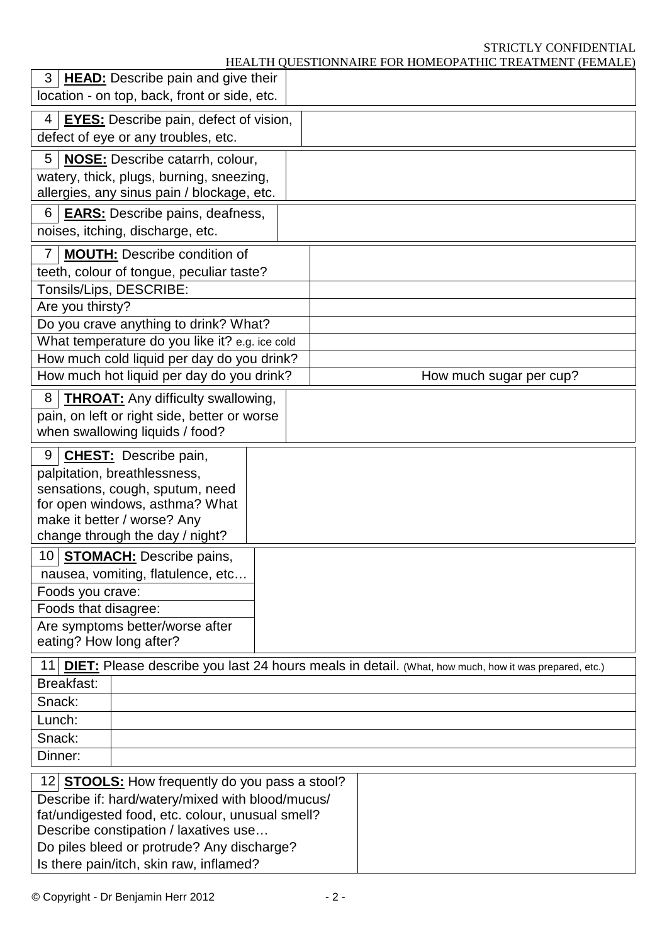# STRICTLY CONFIDENTIAL<br>IIC TREATMENT (FEMALE)

| HEALTH QUESTIONNAIRE FOR HOMEOPATHIC TREATMENT (FEMALE) |
|---------------------------------------------------------|
|---------------------------------------------------------|

|                                                                                                                                                                                                                                                                                                 | 3   <b>HEAD:</b> Describe pain and give their<br>location - on top, back, front or side, etc.                                    |  |  |                                                                                                             |
|-------------------------------------------------------------------------------------------------------------------------------------------------------------------------------------------------------------------------------------------------------------------------------------------------|----------------------------------------------------------------------------------------------------------------------------------|--|--|-------------------------------------------------------------------------------------------------------------|
| 4                                                                                                                                                                                                                                                                                               | <b>EYES:</b> Describe pain, defect of vision,<br>defect of eye or any troubles, etc.                                             |  |  |                                                                                                             |
| 5                                                                                                                                                                                                                                                                                               | <b>NOSE:</b> Describe catarrh, colour,<br>watery, thick, plugs, burning, sneezing,<br>allergies, any sinus pain / blockage, etc. |  |  |                                                                                                             |
| 6                                                                                                                                                                                                                                                                                               | <b>EARS:</b> Describe pains, deafness,<br>noises, itching, discharge, etc.                                                       |  |  |                                                                                                             |
| <b>MOUTH:</b> Describe condition of<br>$\overline{7}$<br>teeth, colour of tongue, peculiar taste?<br>Tonsils/Lips, DESCRIBE:                                                                                                                                                                    |                                                                                                                                  |  |  |                                                                                                             |
| Are you thirsty?                                                                                                                                                                                                                                                                                |                                                                                                                                  |  |  |                                                                                                             |
|                                                                                                                                                                                                                                                                                                 | Do you crave anything to drink? What?                                                                                            |  |  |                                                                                                             |
|                                                                                                                                                                                                                                                                                                 | What temperature do you like it? e.g. ice cold                                                                                   |  |  |                                                                                                             |
|                                                                                                                                                                                                                                                                                                 | How much cold liquid per day do you drink?                                                                                       |  |  |                                                                                                             |
|                                                                                                                                                                                                                                                                                                 | How much hot liquid per day do you drink?                                                                                        |  |  | How much sugar per cup?                                                                                     |
| 8<br><b>THROAT:</b> Any difficulty swallowing,<br>pain, on left or right side, better or worse<br>when swallowing liquids / food?                                                                                                                                                               |                                                                                                                                  |  |  |                                                                                                             |
| 9<br><b>CHEST:</b> Describe pain,<br>palpitation, breathlessness,<br>sensations, cough, sputum, need<br>for open windows, asthma? What<br>make it better / worse? Any<br>change through the day / night?                                                                                        |                                                                                                                                  |  |  |                                                                                                             |
| <b>STOMACH:</b> Describe pains,<br>10 <sup>1</sup><br>nausea, vomiting, flatulence, etc<br>Foods you crave:<br>Foods that disagree:<br>Are symptoms better/worse after<br>eating? How long after?                                                                                               |                                                                                                                                  |  |  |                                                                                                             |
| 11                                                                                                                                                                                                                                                                                              |                                                                                                                                  |  |  | <b>DIET:</b> Please describe you last 24 hours meals in detail. (What, how much, how it was prepared, etc.) |
| Breakfast:                                                                                                                                                                                                                                                                                      |                                                                                                                                  |  |  |                                                                                                             |
| Snack:                                                                                                                                                                                                                                                                                          |                                                                                                                                  |  |  |                                                                                                             |
| Lunch:                                                                                                                                                                                                                                                                                          |                                                                                                                                  |  |  |                                                                                                             |
| Snack:                                                                                                                                                                                                                                                                                          |                                                                                                                                  |  |  |                                                                                                             |
| Dinner:                                                                                                                                                                                                                                                                                         |                                                                                                                                  |  |  |                                                                                                             |
| 12 <b>STOOLS:</b> How frequently do you pass a stool?<br>Describe if: hard/watery/mixed with blood/mucus/<br>fat/undigested food, etc. colour, unusual smell?<br>Describe constipation / laxatives use<br>Do piles bleed or protrude? Any discharge?<br>Is there pain/itch, skin raw, inflamed? |                                                                                                                                  |  |  |                                                                                                             |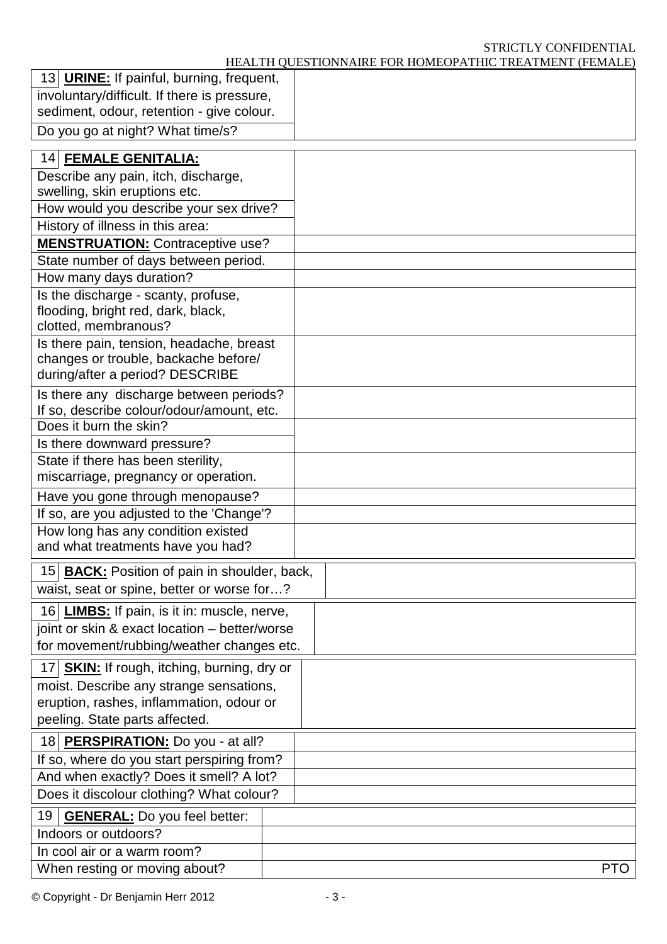#### STRICTLY CONFIDENTIAL

HEALTH QUESTIONNAIRE FOR HOMEOPATHIC TREATMENT (FEMALE)

| 13 URINE: If painful, burning, frequent,                                             |     |
|--------------------------------------------------------------------------------------|-----|
| involuntary/difficult. If there is pressure,                                         |     |
| sediment, odour, retention - give colour.                                            |     |
| Do you go at night? What time/s?                                                     |     |
| 14 FEMALE GENITALIA:                                                                 |     |
| Describe any pain, itch, discharge,                                                  |     |
| swelling, skin eruptions etc.                                                        |     |
| How would you describe your sex drive?                                               |     |
| History of illness in this area:                                                     |     |
| <b>MENSTRUATION:</b> Contraceptive use?                                              |     |
| State number of days between period.                                                 |     |
| How many days duration?                                                              |     |
| Is the discharge - scanty, profuse,                                                  |     |
| flooding, bright red, dark, black,                                                   |     |
| clotted, membranous?                                                                 |     |
| Is there pain, tension, headache, breast                                             |     |
| changes or trouble, backache before/<br>during/after a period? DESCRIBE              |     |
|                                                                                      |     |
| Is there any discharge between periods?<br>If so, describe colour/odour/amount, etc. |     |
| Does it burn the skin?                                                               |     |
| Is there downward pressure?                                                          |     |
| State if there has been sterility,                                                   |     |
| miscarriage, pregnancy or operation.                                                 |     |
| Have you gone through menopause?                                                     |     |
| If so, are you adjusted to the 'Change'?                                             |     |
| How long has any condition existed                                                   |     |
| and what treatments have you had?                                                    |     |
| 15 BACK: Position of pain in shoulder, back,                                         |     |
| waist, seat or spine, better or worse for?                                           |     |
| 16 LIMBS: If pain, is it in: muscle, nerve,                                          |     |
| joint or skin & exact location - better/worse                                        |     |
| for movement/rubbing/weather changes etc.                                            |     |
| 17 SKIN: If rough, itching, burning, dry or                                          |     |
| moist. Describe any strange sensations,                                              |     |
| eruption, rashes, inflammation, odour or                                             |     |
| peeling. State parts affected.                                                       |     |
| 18 PERSPIRATION: Do you - at all?                                                    |     |
| If so, where do you start perspiring from?                                           |     |
| And when exactly? Does it smell? A lot?                                              |     |
| Does it discolour clothing? What colour?                                             |     |
| <b>GENERAL:</b> Do you feel better:<br>19                                            |     |
| Indoors or outdoors?                                                                 |     |
| In cool air or a warm room?                                                          |     |
| When resting or moving about?                                                        | PTO |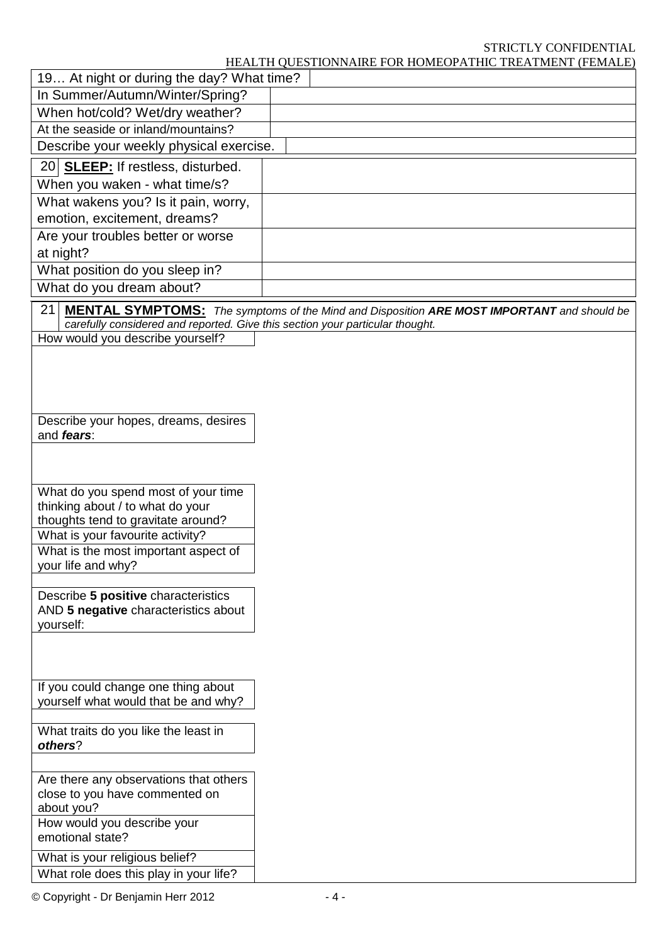## STRICTLY CONFIDENTIAL

HEALTH QUESTIONNAIRE FOR HOMEOPATHIC TREATMENT (FEMALE)

|                                                                               | HEALTH QUESTIONNAIRE FOR HOMEOPATHIC TREATMENT (FEMALE)                                           |
|-------------------------------------------------------------------------------|---------------------------------------------------------------------------------------------------|
| 19 At night or during the day? What time?                                     |                                                                                                   |
| In Summer/Autumn/Winter/Spring?                                               |                                                                                                   |
| When hot/cold? Wet/dry weather?                                               |                                                                                                   |
| At the seaside or inland/mountains?                                           |                                                                                                   |
| Describe your weekly physical exercise.                                       |                                                                                                   |
| 20 SLEEP: If restless, disturbed.                                             |                                                                                                   |
| When you waken - what time/s?                                                 |                                                                                                   |
| What wakens you? Is it pain, worry,                                           |                                                                                                   |
| emotion, excitement, dreams?                                                  |                                                                                                   |
| Are your troubles better or worse                                             |                                                                                                   |
| at night?                                                                     |                                                                                                   |
| What position do you sleep in?                                                |                                                                                                   |
| What do you dream about?                                                      |                                                                                                   |
| 21                                                                            | <b>MENTAL SYMPTOMS:</b> The symptoms of the Mind and Disposition ARE MOST IMPORTANT and should be |
| carefully considered and reported. Give this section your particular thought. |                                                                                                   |
| How would you describe yourself?                                              |                                                                                                   |
|                                                                               |                                                                                                   |
|                                                                               |                                                                                                   |
|                                                                               |                                                                                                   |
| Describe your hopes, dreams, desires                                          |                                                                                                   |
| and fears:                                                                    |                                                                                                   |
|                                                                               |                                                                                                   |
|                                                                               |                                                                                                   |
|                                                                               |                                                                                                   |
| What do you spend most of your time<br>thinking about / to what do your       |                                                                                                   |
| thoughts tend to gravitate around?                                            |                                                                                                   |
| What is your favourite activity?                                              |                                                                                                   |
| What is the most important aspect of                                          |                                                                                                   |
| your life and why?                                                            |                                                                                                   |
| Describe 5 positive characteristics                                           |                                                                                                   |
| AND 5 negative characteristics about                                          |                                                                                                   |
| yourself:                                                                     |                                                                                                   |
|                                                                               |                                                                                                   |
|                                                                               |                                                                                                   |
|                                                                               |                                                                                                   |
| If you could change one thing about<br>yourself what would that be and why?   |                                                                                                   |
|                                                                               |                                                                                                   |
| What traits do you like the least in                                          |                                                                                                   |
| others?                                                                       |                                                                                                   |
|                                                                               |                                                                                                   |
| Are there any observations that others                                        |                                                                                                   |
| close to you have commented on                                                |                                                                                                   |
| about you?<br>How would you describe your                                     |                                                                                                   |
| emotional state?                                                              |                                                                                                   |
| What is your religious belief?                                                |                                                                                                   |
| What role does this play in your life?                                        |                                                                                                   |
|                                                                               |                                                                                                   |